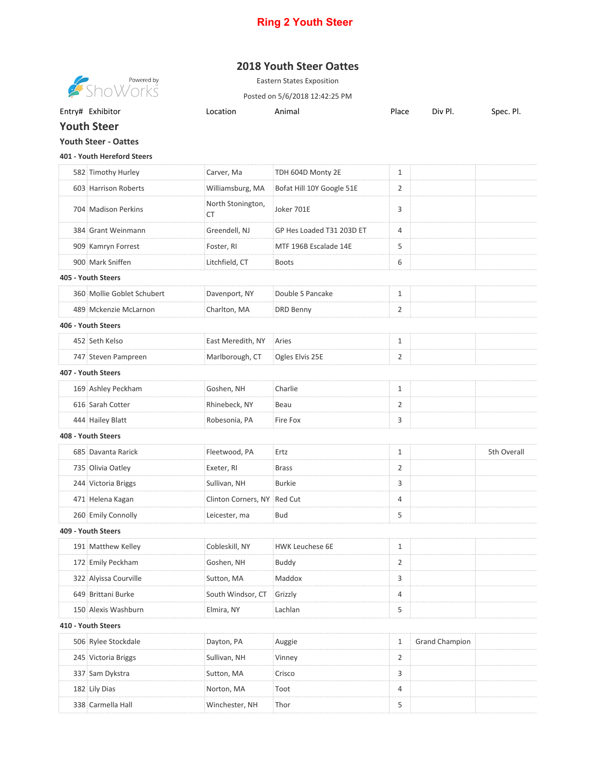## **Ring 2 Youth Steer**

## **2018 Youth Steer Oattes**

**Showered by**<br>Show orks

Eastern States Exposition Posted on 5/6/2018 12:42:25 PM

Entry# Exhibitor **Entry# Exhibitor** Construction Animal Place Div Pl. Spec. Pl.

**Youth Steer**

**Youth Steer - Oattes**

**401 - Youth Hereford Steers**

|                    | 582 Timothy Hurley         | Carver, Ma                  | TDH 604D Monty 2E         | $\mathbf{1}$   |                       |             |  |  |  |
|--------------------|----------------------------|-----------------------------|---------------------------|----------------|-----------------------|-------------|--|--|--|
|                    | 603 Harrison Roberts       | Williamsburg, MA            | Bofat Hill 10Y Google 51E | 2              |                       |             |  |  |  |
|                    | 704 Madison Perkins        | North Stonington,<br>СT     | Joker 701E                | 3              |                       |             |  |  |  |
|                    | 384 Grant Weinmann         | Greendell, NJ               | GP Hes Loaded T31 203D ET | $\overline{4}$ |                       |             |  |  |  |
|                    | 909 Kamryn Forrest         | Foster, RI                  | MTF 196B Escalade 14E     | 5              |                       |             |  |  |  |
|                    | 900 Mark Sniffen           | Litchfield, CT              | <b>Boots</b>              | 6              |                       |             |  |  |  |
| 405 - Youth Steers |                            |                             |                           |                |                       |             |  |  |  |
|                    | 360 Mollie Goblet Schubert | Davenport, NY               | Double S Pancake          | 1              |                       |             |  |  |  |
|                    | 489 Mckenzie McLarnon      | Charlton, MA                | DRD Benny                 | 2              |                       |             |  |  |  |
|                    | 406 - Youth Steers         |                             |                           |                |                       |             |  |  |  |
|                    | 452 Seth Kelso             | East Meredith, NY           | Aries                     | $\mathbf{1}$   |                       |             |  |  |  |
|                    | 747 Steven Pampreen        | Marlborough, CT             | Ogles Elvis 25E           | 2              |                       |             |  |  |  |
|                    | 407 - Youth Steers         |                             |                           |                |                       |             |  |  |  |
|                    | 169 Ashley Peckham         | Goshen, NH                  | Charlie                   | 1              |                       |             |  |  |  |
|                    | 616 Sarah Cotter           | Rhinebeck, NY               | Beau                      | 2              |                       |             |  |  |  |
|                    | 444 Hailey Blatt           | Robesonia, PA               | Fire Fox                  | 3              |                       |             |  |  |  |
|                    | 408 - Youth Steers         |                             |                           |                |                       |             |  |  |  |
|                    | 685 Davanta Rarick         | Fleetwood, PA               | Ertz                      | $\mathbf{1}$   |                       | 5th Overall |  |  |  |
|                    | 735 Olivia Oatley          | Exeter, RI                  | <b>Brass</b>              | $\overline{2}$ |                       |             |  |  |  |
|                    | 244 Victoria Briggs        | Sullivan, NH                | <b>Burkie</b>             | 3              |                       |             |  |  |  |
|                    | 471 Helena Kagan           | Clinton Corners, NY Red Cut |                           | $\overline{4}$ |                       |             |  |  |  |
|                    | 260 Emily Connolly         | Leicester, ma               | <b>Bud</b>                | 5              |                       |             |  |  |  |
|                    | 409 - Youth Steers         |                             |                           |                |                       |             |  |  |  |
|                    | 191 Matthew Kelley         | Cobleskill, NY              | <b>HWK Leuchese 6E</b>    | $\mathbf{1}$   |                       |             |  |  |  |
|                    | 172 Emily Peckham          | Goshen, NH                  | Buddy                     | 2              |                       |             |  |  |  |
|                    | 322 Alyissa Courville      | Sutton, MA                  | Maddox                    | 3              |                       |             |  |  |  |
|                    | 649 Brittani Burke         | South Windsor, CT           | Grizzly                   | 4              |                       |             |  |  |  |
|                    | 150 Alexis Washburn        | Elmira, NY                  | Lachlan                   | 5              |                       |             |  |  |  |
|                    | 410 - Youth Steers         |                             |                           |                |                       |             |  |  |  |
|                    | 506 Rylee Stockdale        | Dayton, PA                  | Auggie                    | 1              | <b>Grand Champion</b> |             |  |  |  |
|                    | 245 Victoria Briggs        | Sullivan, NH                | Vinney                    | 2              |                       |             |  |  |  |
|                    | 337 Sam Dykstra            | Sutton, MA                  | Crisco                    | 3              |                       |             |  |  |  |
|                    | 182 Lily Dias              | Norton, MA                  | Toot                      | 4              |                       |             |  |  |  |
|                    | 338 Carmella Hall          | Winchester, NH              | Thor                      | 5              |                       |             |  |  |  |